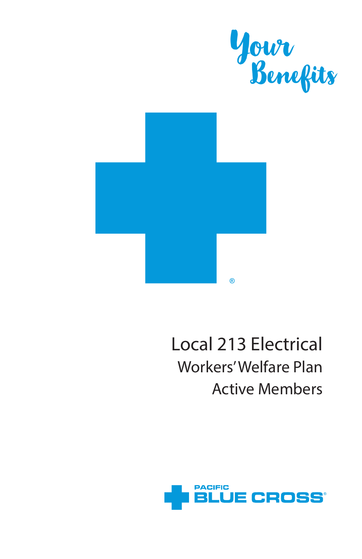

# Local 213 Electrical Workers' Welfare Plan Active Members

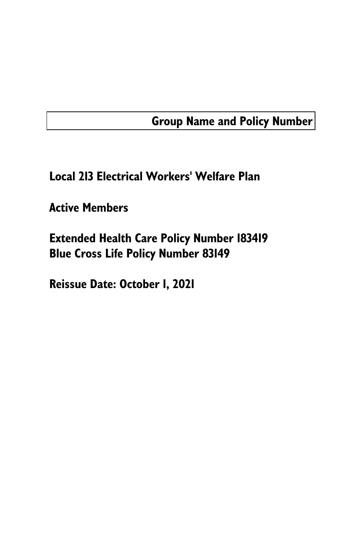### Group Name and Policy Number

Local 213 Electrical Workers' Welfare Plan

Active Members

Extended Health Care Policy Number 183419 Blue Cross Life Policy Number 83149

Reissue Date: October 1, 2021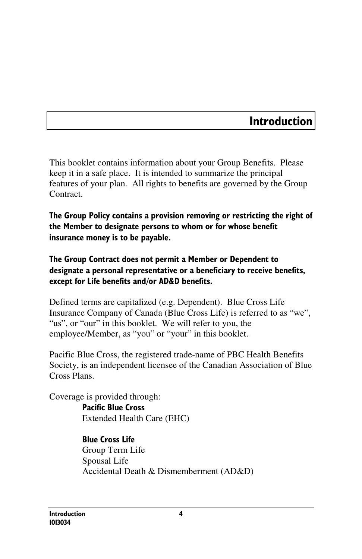### Introduction

This booklet contains information about your Group Benefits. Please keep it in a safe place. It is intended to summarize the principal features of your plan. All rights to benefits are governed by the Group Contract.

The Group Policy contains a provision removing or restricting the right of the Member to designate persons to whom or for whose benefit insurance money is to be payable.

#### The Group Contract does not permit a Member or Dependent to designate a personal representative or a beneficiary to receive benefits, except for Life benefits and/or AD&D benefits.

Defined terms are capitalized (e.g. Dependent). Blue Cross Life Insurance Company of Canada (Blue Cross Life) is referred to as "we", "us", or "our" in this booklet. We will refer to you, the employee/Member, as "you" or "your" in this booklet.

Pacific Blue Cross, the registered trade-name of PBC Health Benefits Society, is an independent licensee of the Canadian Association of Blue Cross Plans.

Coverage is provided through: Pacific Blue Cross Extended Health Care (EHC)

> Blue Cross Life Group Term Life Spousal Life Accidental Death & Dismemberment (AD&D)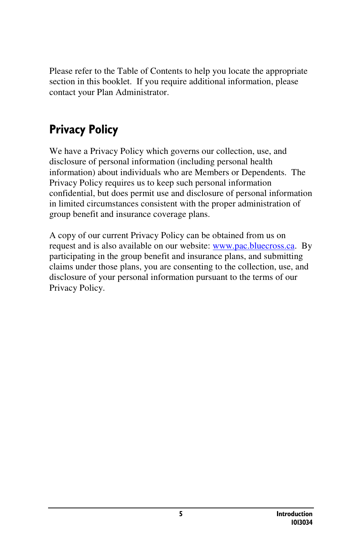Please refer to the Table of Contents to help you locate the appropriate section in this booklet. If you require additional information, please contact your Plan Administrator.

# Privacy Policy

We have a Privacy Policy which governs our collection, use, and disclosure of personal information (including personal health information) about individuals who are Members or Dependents. The Privacy Policy requires us to keep such personal information confidential, but does permit use and disclosure of personal information in limited circumstances consistent with the proper administration of group benefit and insurance coverage plans.

A copy of our current Privacy Policy can be obtained from us on request and is also available on our website: www.pac.bluecross.ca. By participating in the group benefit and insurance plans, and submitting claims under those plans, you are consenting to the collection, use, and disclosure of your personal information pursuant to the terms of our Privacy Policy.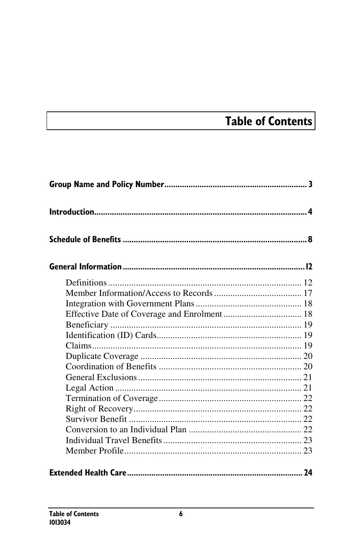# Table of Contents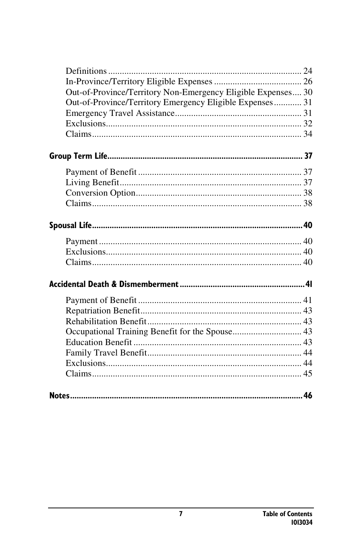| Out-of-Province/Territory Non-Emergency Eligible Expenses 30 |  |
|--------------------------------------------------------------|--|
| Out-of-Province/Territory Emergency Eligible Expenses 31     |  |
|                                                              |  |
|                                                              |  |
|                                                              |  |
|                                                              |  |
|                                                              |  |
|                                                              |  |
|                                                              |  |
|                                                              |  |
|                                                              |  |
|                                                              |  |
|                                                              |  |
|                                                              |  |
|                                                              |  |
|                                                              |  |
|                                                              |  |
|                                                              |  |
|                                                              |  |
|                                                              |  |
|                                                              |  |
|                                                              |  |
|                                                              |  |
|                                                              |  |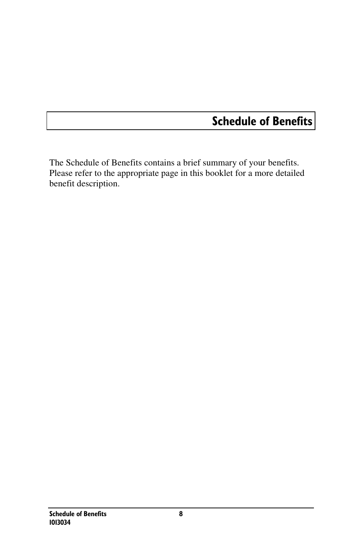### Schedule of Benefits

The Schedule of Benefits contains a brief summary of your benefits. Please refer to the appropriate page in this booklet for a more detailed benefit description.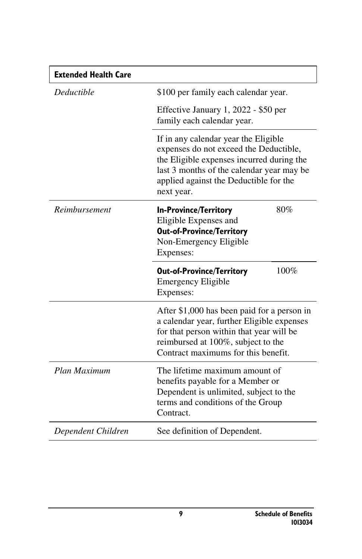| <b>Extended Health Care</b> |                                                                                                                                                                                                                                  |
|-----------------------------|----------------------------------------------------------------------------------------------------------------------------------------------------------------------------------------------------------------------------------|
| <b>Deductible</b>           | \$100 per family each calendar year.                                                                                                                                                                                             |
|                             | Effective January 1, 2022 - \$50 per<br>family each calendar year.                                                                                                                                                               |
|                             | If in any calendar year the Eligible<br>expenses do not exceed the Deductible,<br>the Eligible expenses incurred during the<br>last 3 months of the calendar year may be<br>applied against the Deductible for the<br>next year. |
| Reimbursement               | 80%<br><b>In-Province/Territory</b><br>Eligible Expenses and<br><b>Out-of-Province/Territory</b><br>Non-Emergency Eligible<br>Expenses:                                                                                          |
|                             | 100%<br><b>Out-of-Province/Territory</b><br><b>Emergency Eligible</b><br>Expenses:                                                                                                                                               |
|                             | After \$1,000 has been paid for a person in<br>a calendar year, further Eligible expenses<br>for that person within that year will be<br>reimbursed at 100%, subject to the<br>Contract maximums for this benefit.               |
| Plan Maximum                | The lifetime maximum amount of<br>benefits payable for a Member or<br>Dependent is unlimited, subject to the<br>terms and conditions of the Group<br>Contract.                                                                   |
| Dependent Children          | See definition of Dependent.                                                                                                                                                                                                     |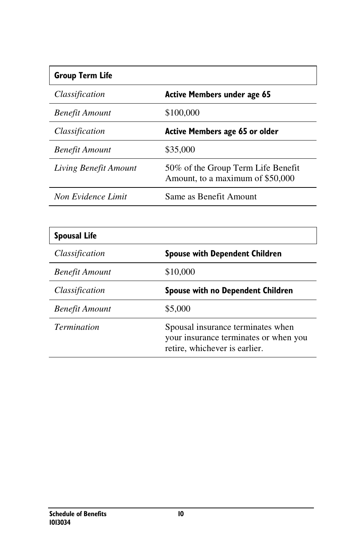#### Group Term Life

| Classification        | Active Members under age 65                                            |
|-----------------------|------------------------------------------------------------------------|
| <b>Benefit Amount</b> | \$100,000                                                              |
| Classification        | Active Members age 65 or older                                         |
| Benefit Amount        | \$35,000                                                               |
| Living Benefit Amount | 50% of the Group Term Life Benefit<br>Amount, to a maximum of \$50,000 |
| Non Evidence Limit    | Same as Benefit Amount                                                 |

I

| <b>Spousal Life</b>   |                                                                                                             |
|-----------------------|-------------------------------------------------------------------------------------------------------------|
| Classification        | <b>Spouse with Dependent Children</b>                                                                       |
| <b>Benefit Amount</b> | \$10,000                                                                                                    |
| Classification        | <b>Spouse with no Dependent Children</b>                                                                    |
| <b>Benefit Amount</b> | \$5,000                                                                                                     |
| <i>Termination</i>    | Spousal insurance terminates when<br>your insurance terminates or when you<br>retire, whichever is earlier. |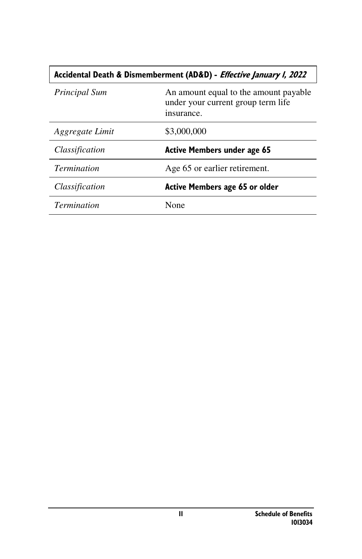| Accidental Death & Dismemberment (AD&D) - Effective January I, 2022 |                                                                                           |  |
|---------------------------------------------------------------------|-------------------------------------------------------------------------------------------|--|
| Principal Sum                                                       | An amount equal to the amount payable<br>under your current group term life<br>insurance. |  |
| Aggregate Limit                                                     | \$3,000,000                                                                               |  |
| Classification                                                      | <b>Active Members under age 65</b>                                                        |  |
| <i>Termination</i>                                                  | Age 65 or earlier retirement.                                                             |  |
| Classification                                                      | <b>Active Members age 65 or older</b>                                                     |  |
| <i>Termination</i>                                                  | None                                                                                      |  |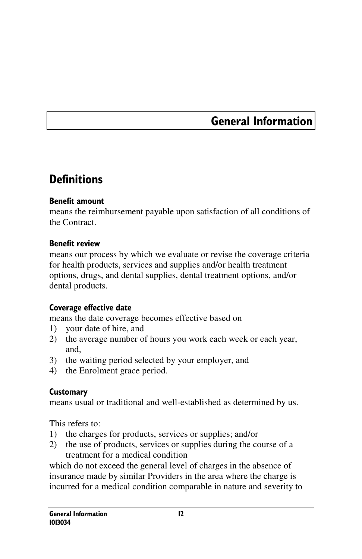### General Information

### **Definitions**

#### Benefit amount

means the reimbursement payable upon satisfaction of all conditions of the Contract.

#### Benefit review

means our process by which we evaluate or revise the coverage criteria for health products, services and supplies and/or health treatment options, drugs, and dental supplies, dental treatment options, and/or dental products.

#### Coverage effective date

means the date coverage becomes effective based on

- 1) your date of hire, and
- 2) the average number of hours you work each week or each year, and,
- 3) the waiting period selected by your employer, and
- 4) the Enrolment grace period.

#### **Customary**

means usual or traditional and well-established as determined by us.

This refers to:

- 1) the charges for products, services or supplies; and/or
- 2) the use of products, services or supplies during the course of a treatment for a medical condition

which do not exceed the general level of charges in the absence of insurance made by similar Providers in the area where the charge is incurred for a medical condition comparable in nature and severity to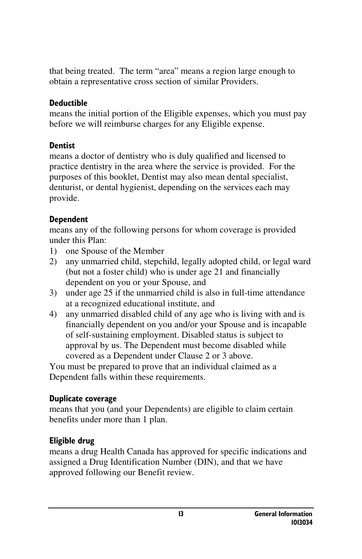that being treated. The term "area" means a region large enough to obtain a representative cross section of similar Providers.

#### Deductible

means the initial portion of the Eligible expenses, which you must pay before we will reimburse charges for any Eligible expense.

#### **Dentist**

means a doctor of dentistry who is duly qualified and licensed to practice dentistry in the area where the service is provided. For the purposes of this booklet, Dentist may also mean dental specialist, denturist, or dental hygienist, depending on the services each may provide.

#### Dependent

means any of the following persons for whom coverage is provided under this Plan:

- 1) one Spouse of the Member
- 2) any unmarried child, stepchild, legally adopted child, or legal ward (but not a foster child) who is under age 21 and financially dependent on you or your Spouse, and
- 3) under age 25 if the unmarried child is also in full-time attendance at a recognized educational institute, and
- 4) any unmarried disabled child of any age who is living with and is financially dependent on you and/or your Spouse and is incapable of self-sustaining employment. Disabled status is subject to approval by us. The Dependent must become disabled while covered as a Dependent under Clause 2 or 3 above.

You must be prepared to prove that an individual claimed as a Dependent falls within these requirements.

#### Duplicate coverage

means that you (and your Dependents) are eligible to claim certain benefits under more than 1 plan.

#### Eligible drug

means a drug Health Canada has approved for specific indications and assigned a Drug Identification Number (DIN), and that we have approved following our Benefit review.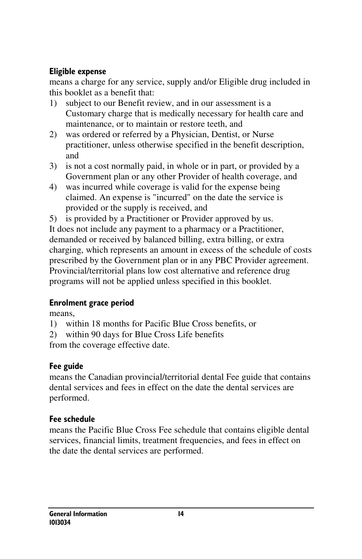#### Eligible expense

means a charge for any service, supply and/or Eligible drug included in this booklet as a benefit that:

- 1) subject to our Benefit review, and in our assessment is a Customary charge that is medically necessary for health care and maintenance, or to maintain or restore teeth, and
- 2) was ordered or referred by a Physician, Dentist, or Nurse practitioner, unless otherwise specified in the benefit description, and
- 3) is not a cost normally paid, in whole or in part, or provided by a Government plan or any other Provider of health coverage, and
- 4) was incurred while coverage is valid for the expense being claimed. An expense is "incurred" on the date the service is provided or the supply is received, and
- 5) is provided by a Practitioner or Provider approved by us.

It does not include any payment to a pharmacy or a Practitioner, demanded or received by balanced billing, extra billing, or extra charging, which represents an amount in excess of the schedule of costs prescribed by the Government plan or in any PBC Provider agreement. Provincial/territorial plans low cost alternative and reference drug programs will not be applied unless specified in this booklet.

#### Enrolment grace period

means,

- 1) within 18 months for Pacific Blue Cross benefits, or
- 2) within 90 days for Blue Cross Life benefits

from the coverage effective date.

### Fee guide

means the Canadian provincial/territorial dental Fee guide that contains dental services and fees in effect on the date the dental services are performed.

#### Fee schedule

means the Pacific Blue Cross Fee schedule that contains eligible dental services, financial limits, treatment frequencies, and fees in effect on the date the dental services are performed.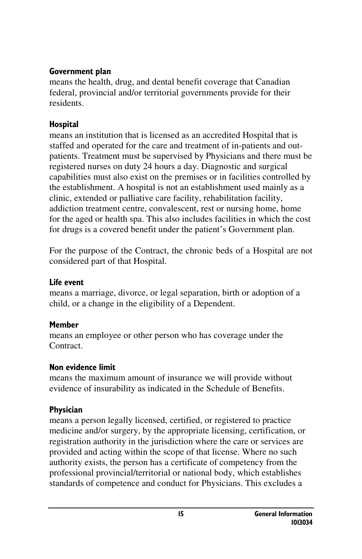#### Government plan

means the health, drug, and dental benefit coverage that Canadian federal, provincial and/or territorial governments provide for their residents.

#### Hospital

means an institution that is licensed as an accredited Hospital that is staffed and operated for the care and treatment of in-patients and outpatients. Treatment must be supervised by Physicians and there must be registered nurses on duty 24 hours a day. Diagnostic and surgical capabilities must also exist on the premises or in facilities controlled by the establishment. A hospital is not an establishment used mainly as a clinic, extended or palliative care facility, rehabilitation facility, addiction treatment centre, convalescent, rest or nursing home, home for the aged or health spa. This also includes facilities in which the cost for drugs is a covered benefit under the patient's Government plan.

For the purpose of the Contract, the chronic beds of a Hospital are not considered part of that Hospital.

#### Life event

means a marriage, divorce, or legal separation, birth or adoption of a child, or a change in the eligibility of a Dependent.

#### Member

means an employee or other person who has coverage under the Contract.

#### Non evidence limit

means the maximum amount of insurance we will provide without evidence of insurability as indicated in the Schedule of Benefits.

### Physician

means a person legally licensed, certified, or registered to practice medicine and/or surgery, by the appropriate licensing, certification, or registration authority in the jurisdiction where the care or services are provided and acting within the scope of that license. Where no such authority exists, the person has a certificate of competency from the professional provincial/territorial or national body, which establishes standards of competence and conduct for Physicians. This excludes a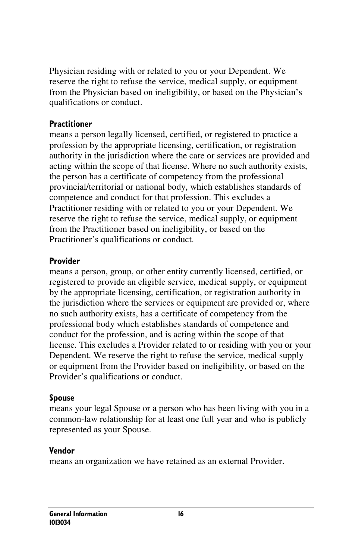Physician residing with or related to you or your Dependent. We reserve the right to refuse the service, medical supply, or equipment from the Physician based on ineligibility, or based on the Physician's qualifications or conduct.

#### **Practitioner**

means a person legally licensed, certified, or registered to practice a profession by the appropriate licensing, certification, or registration authority in the jurisdiction where the care or services are provided and acting within the scope of that license. Where no such authority exists, the person has a certificate of competency from the professional provincial/territorial or national body, which establishes standards of competence and conduct for that profession. This excludes a Practitioner residing with or related to you or your Dependent. We reserve the right to refuse the service, medical supply, or equipment from the Practitioner based on ineligibility, or based on the Practitioner's qualifications or conduct.

#### Provider

means a person, group, or other entity currently licensed, certified, or registered to provide an eligible service, medical supply, or equipment by the appropriate licensing, certification, or registration authority in the jurisdiction where the services or equipment are provided or, where no such authority exists, has a certificate of competency from the professional body which establishes standards of competence and conduct for the profession, and is acting within the scope of that license. This excludes a Provider related to or residing with you or your Dependent. We reserve the right to refuse the service, medical supply or equipment from the Provider based on ineligibility, or based on the Provider's qualifications or conduct.

#### Spouse

means your legal Spouse or a person who has been living with you in a common-law relationship for at least one full year and who is publicly represented as your Spouse.

#### Vendor

means an organization we have retained as an external Provider.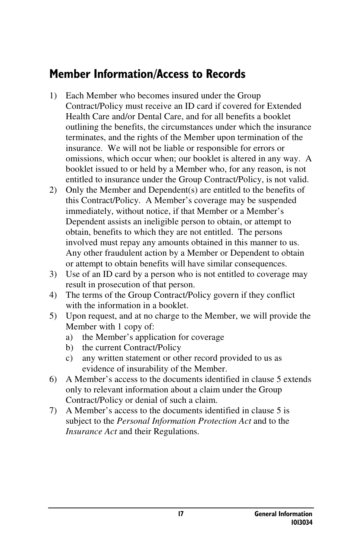### Member Information/Access to Records

- 1) Each Member who becomes insured under the Group Contract/Policy must receive an ID card if covered for Extended Health Care and/or Dental Care, and for all benefits a booklet outlining the benefits, the circumstances under which the insurance terminates, and the rights of the Member upon termination of the insurance. We will not be liable or responsible for errors or omissions, which occur when; our booklet is altered in any way. A booklet issued to or held by a Member who, for any reason, is not entitled to insurance under the Group Contract/Policy, is not valid.
- 2) Only the Member and Dependent(s) are entitled to the benefits of this Contract/Policy. A Member's coverage may be suspended immediately, without notice, if that Member or a Member's Dependent assists an ineligible person to obtain, or attempt to obtain, benefits to which they are not entitled. The persons involved must repay any amounts obtained in this manner to us. Any other fraudulent action by a Member or Dependent to obtain or attempt to obtain benefits will have similar consequences.
- 3) Use of an ID card by a person who is not entitled to coverage may result in prosecution of that person.
- 4) The terms of the Group Contract/Policy govern if they conflict with the information in a booklet.
- 5) Upon request, and at no charge to the Member, we will provide the Member with 1 copy of:
	- a) the Member's application for coverage
	- b) the current Contract/Policy
	- c) any written statement or other record provided to us as evidence of insurability of the Member.
- 6) A Member's access to the documents identified in clause 5 extends only to relevant information about a claim under the Group Contract/Policy or denial of such a claim.
- 7) A Member's access to the documents identified in clause 5 is subject to the *Personal Information Protection Act* and to the *Insurance Act* and their Regulations.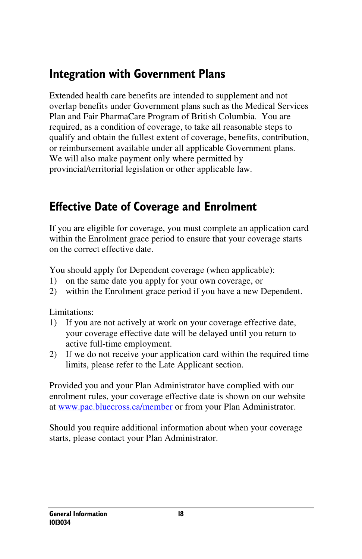### Integration with Government Plans

Extended health care benefits are intended to supplement and not overlap benefits under Government plans such as the Medical Services Plan and Fair PharmaCare Program of British Columbia. You are required, as a condition of coverage, to take all reasonable steps to qualify and obtain the fullest extent of coverage, benefits, contribution, or reimbursement available under all applicable Government plans. We will also make payment only where permitted by provincial/territorial legislation or other applicable law.

### Effective Date of Coverage and Enrolment

If you are eligible for coverage, you must complete an application card within the Enrolment grace period to ensure that your coverage starts on the correct effective date.

You should apply for Dependent coverage (when applicable):

- 1) on the same date you apply for your own coverage, or
- 2) within the Enrolment grace period if you have a new Dependent.

Limitations:

- 1) If you are not actively at work on your coverage effective date, your coverage effective date will be delayed until you return to active full-time employment.
- 2) If we do not receive your application card within the required time limits, please refer to the Late Applicant section.

Provided you and your Plan Administrator have complied with our enrolment rules, your coverage effective date is shown on our website at www.pac.bluecross.ca/member or from your Plan Administrator.

Should you require additional information about when your coverage starts, please contact your Plan Administrator.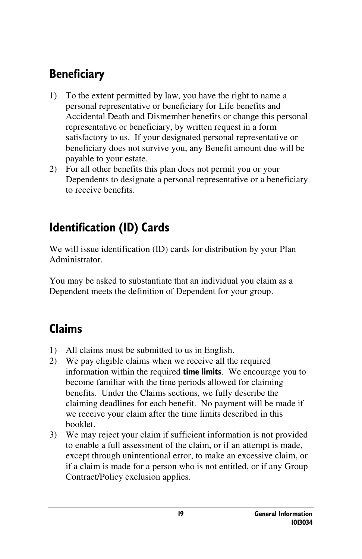# **Beneficiary**

- 1) To the extent permitted by law, you have the right to name a personal representative or beneficiary for Life benefits and Accidental Death and Dismember benefits or change this personal representative or beneficiary, by written request in a form satisfactory to us. If your designated personal representative or beneficiary does not survive you, any Benefit amount due will be payable to your estate.
- 2) For all other benefits this plan does not permit you or your Dependents to designate a personal representative or a beneficiary to receive benefits.

### Identification (ID) Cards

We will issue identification (ID) cards for distribution by your Plan Administrator.

You may be asked to substantiate that an individual you claim as a Dependent meets the definition of Dependent for your group.

### Claims

- 1) All claims must be submitted to us in English.
- 2) We pay eligible claims when we receive all the required information within the required **time limits**. We encourage you to become familiar with the time periods allowed for claiming benefits. Under the Claims sections, we fully describe the claiming deadlines for each benefit. No payment will be made if we receive your claim after the time limits described in this booklet.
- 3) We may reject your claim if sufficient information is not provided to enable a full assessment of the claim, or if an attempt is made, except through unintentional error, to make an excessive claim, or if a claim is made for a person who is not entitled, or if any Group Contract/Policy exclusion applies.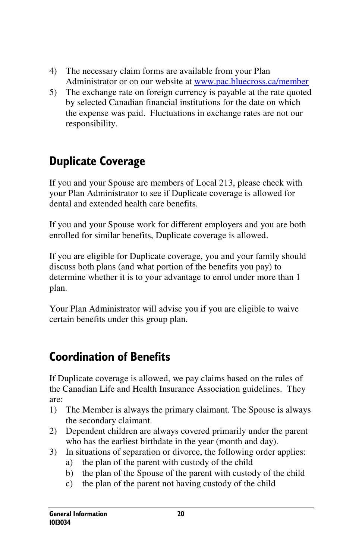- 4) The necessary claim forms are available from your Plan Administrator or on our website at www.pac.bluecross.ca/member
- 5) The exchange rate on foreign currency is payable at the rate quoted by selected Canadian financial institutions for the date on which the expense was paid. Fluctuations in exchange rates are not our responsibility.

# Duplicate Coverage

If you and your Spouse are members of Local 213, please check with your Plan Administrator to see if Duplicate coverage is allowed for dental and extended health care benefits.

If you and your Spouse work for different employers and you are both enrolled for similar benefits, Duplicate coverage is allowed.

If you are eligible for Duplicate coverage, you and your family should discuss both plans (and what portion of the benefits you pay) to determine whether it is to your advantage to enrol under more than 1 plan.

Your Plan Administrator will advise you if you are eligible to waive certain benefits under this group plan.

### Coordination of Benefits

If Duplicate coverage is allowed, we pay claims based on the rules of the Canadian Life and Health Insurance Association guidelines. They are:

- 1) The Member is always the primary claimant. The Spouse is always the secondary claimant.
- 2) Dependent children are always covered primarily under the parent who has the earliest birthdate in the year (month and day).
- 3) In situations of separation or divorce, the following order applies:
	- a) the plan of the parent with custody of the child
	- b) the plan of the Spouse of the parent with custody of the child
	- c) the plan of the parent not having custody of the child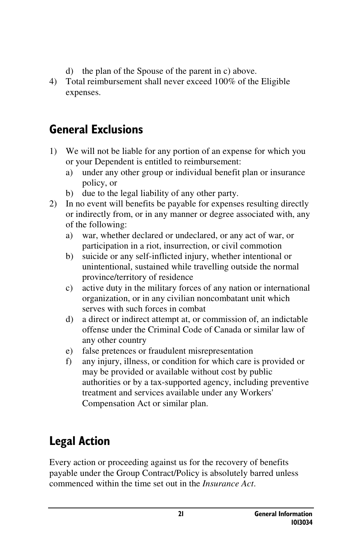- d) the plan of the Spouse of the parent in c) above.
- 4) Total reimbursement shall never exceed 100% of the Eligible expenses.

### General Exclusions

- 1) We will not be liable for any portion of an expense for which you or your Dependent is entitled to reimbursement:
	- a) under any other group or individual benefit plan or insurance policy, or
	- b) due to the legal liability of any other party.
- 2) In no event will benefits be payable for expenses resulting directly or indirectly from, or in any manner or degree associated with, any of the following:
	- a) war, whether declared or undeclared, or any act of war, or participation in a riot, insurrection, or civil commotion
	- b) suicide or any self-inflicted injury, whether intentional or unintentional, sustained while travelling outside the normal province/territory of residence
	- c) active duty in the military forces of any nation or international organization, or in any civilian noncombatant unit which serves with such forces in combat
	- d) a direct or indirect attempt at, or commission of, an indictable offense under the Criminal Code of Canada or similar law of any other country
	- e) false pretences or fraudulent misrepresentation
	- f) any injury, illness, or condition for which care is provided or may be provided or available without cost by public authorities or by a tax-supported agency, including preventive treatment and services available under any Workers' Compensation Act or similar plan.

# Legal Action

Every action or proceeding against us for the recovery of benefits payable under the Group Contract/Policy is absolutely barred unless commenced within the time set out in the *Insurance Act*.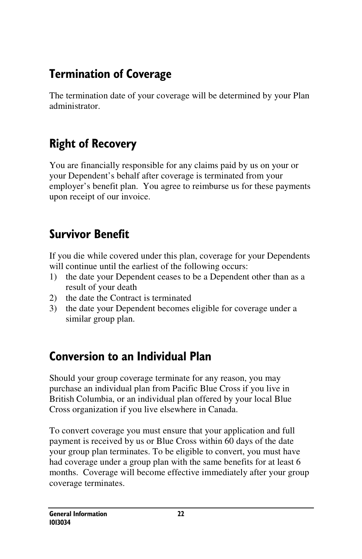### Termination of Coverage

The termination date of your coverage will be determined by your Plan administrator.

## Right of Recovery

You are financially responsible for any claims paid by us on your or your Dependent's behalf after coverage is terminated from your employer's benefit plan. You agree to reimburse us for these payments upon receipt of our invoice.

### Survivor Benefit

If you die while covered under this plan, coverage for your Dependents will continue until the earliest of the following occurs:

- 1) the date your Dependent ceases to be a Dependent other than as a result of your death
- 2) the date the Contract is terminated
- 3) the date your Dependent becomes eligible for coverage under a similar group plan.

### Conversion to an Individual Plan

Should your group coverage terminate for any reason, you may purchase an individual plan from Pacific Blue Cross if you live in British Columbia, or an individual plan offered by your local Blue Cross organization if you live elsewhere in Canada.

To convert coverage you must ensure that your application and full payment is received by us or Blue Cross within 60 days of the date your group plan terminates. To be eligible to convert, you must have had coverage under a group plan with the same benefits for at least 6 months. Coverage will become effective immediately after your group coverage terminates.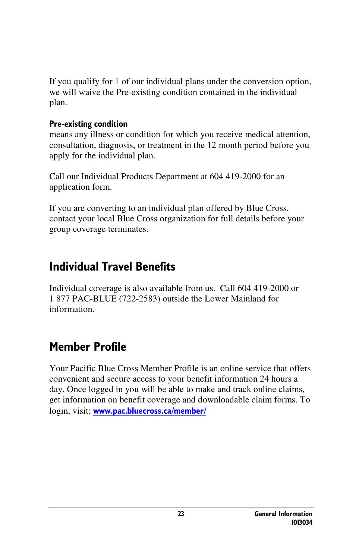If you qualify for 1 of our individual plans under the conversion option, we will waive the Pre-existing condition contained in the individual plan.

#### Pre-existing condition

means any illness or condition for which you receive medical attention, consultation, diagnosis, or treatment in the 12 month period before you apply for the individual plan.

Call our Individual Products Department at 604 419-2000 for an application form.

If you are converting to an individual plan offered by Blue Cross, contact your local Blue Cross organization for full details before your group coverage terminates.

### Individual Travel Benefits

Individual coverage is also available from us. Call 604 419-2000 or 1 877 PAC-BLUE (722-2583) outside the Lower Mainland for information.

### Member Profile

Your Pacific Blue Cross Member Profile is an online service that offers convenient and secure access to your benefit information 24 hours a day. Once logged in you will be able to make and track online claims, get information on benefit coverage and downloadable claim forms. To login, visit: www.pac.bluecross.ca/member/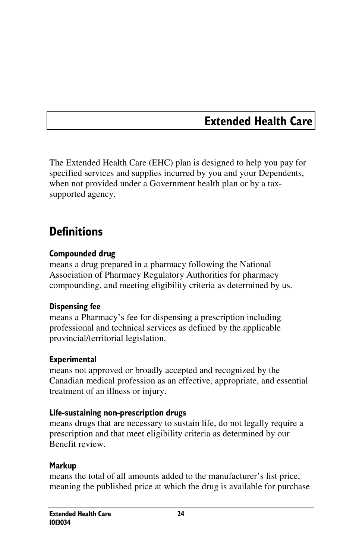### Extended Health Care

The Extended Health Care (EHC) plan is designed to help you pay for specified services and supplies incurred by you and your Dependents, when not provided under a Government health plan or by a taxsupported agency.

### **Definitions**

#### Compounded drug

means a drug prepared in a pharmacy following the National Association of Pharmacy Regulatory Authorities for pharmacy compounding, and meeting eligibility criteria as determined by us.

#### Dispensing fee

means a Pharmacy's fee for dispensing a prescription including professional and technical services as defined by the applicable provincial/territorial legislation.

#### **Experimental**

means not approved or broadly accepted and recognized by the Canadian medical profession as an effective, appropriate, and essential treatment of an illness or injury.

#### Life-sustaining non-prescription drugs

means drugs that are necessary to sustain life, do not legally require a prescription and that meet eligibility criteria as determined by our Benefit review.

#### Markup

means the total of all amounts added to the manufacturer's list price, meaning the published price at which the drug is available for purchase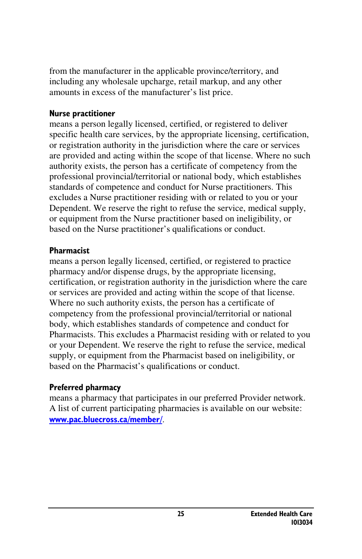from the manufacturer in the applicable province/territory, and including any wholesale upcharge, retail markup, and any other amounts in excess of the manufacturer's list price.

#### Nurse practitioner

means a person legally licensed, certified, or registered to deliver specific health care services, by the appropriate licensing, certification, or registration authority in the jurisdiction where the care or services are provided and acting within the scope of that license. Where no such authority exists, the person has a certificate of competency from the professional provincial/territorial or national body, which establishes standards of competence and conduct for Nurse practitioners. This excludes a Nurse practitioner residing with or related to you or your Dependent. We reserve the right to refuse the service, medical supply, or equipment from the Nurse practitioner based on ineligibility, or based on the Nurse practitioner's qualifications or conduct.

#### Pharmacist

means a person legally licensed, certified, or registered to practice pharmacy and/or dispense drugs, by the appropriate licensing, certification, or registration authority in the jurisdiction where the care or services are provided and acting within the scope of that license. Where no such authority exists, the person has a certificate of competency from the professional provincial/territorial or national body, which establishes standards of competence and conduct for Pharmacists. This excludes a Pharmacist residing with or related to you or your Dependent. We reserve the right to refuse the service, medical supply, or equipment from the Pharmacist based on ineligibility, or based on the Pharmacist's qualifications or conduct.

#### Preferred pharmacy

means a pharmacy that participates in our preferred Provider network. A list of current participating pharmacies is available on our website: www.pac.bluecross.ca/member/.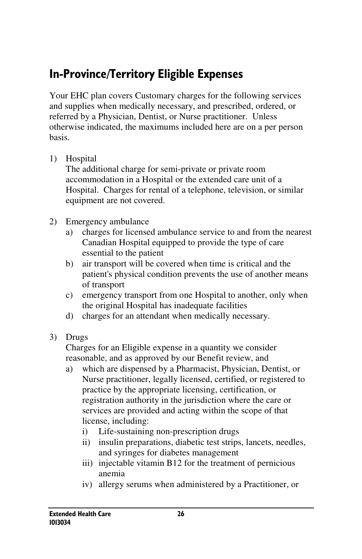### In-Province/Territory Eligible Expenses

Your EHC plan covers Customary charges for the following services and supplies when medically necessary, and prescribed, ordered, or referred by a Physician, Dentist, or Nurse practitioner. Unless otherwise indicated, the maximums included here are on a per person basis.

1) Hospital

The additional charge for semi-private or private room accommodation in a Hospital or the extended care unit of a Hospital. Charges for rental of a telephone, television, or similar equipment are not covered.

- 2) Emergency ambulance
	- a) charges for licensed ambulance service to and from the nearest Canadian Hospital equipped to provide the type of care essential to the patient
	- b) air transport will be covered when time is critical and the patient's physical condition prevents the use of another means of transport
	- c) emergency transport from one Hospital to another, only when the original Hospital has inadequate facilities
	- d) charges for an attendant when medically necessary.
- 3) Drugs

Charges for an Eligible expense in a quantity we consider reasonable, and as approved by our Benefit review, and

- a) which are dispensed by a Pharmacist, Physician, Dentist, or Nurse practitioner, legally licensed, certified, or registered to practice by the appropriate licensing, certification, or registration authority in the jurisdiction where the care or services are provided and acting within the scope of that license, including:
	- i) Life-sustaining non-prescription drugs
	- ii) insulin preparations, diabetic test strips, lancets, needles, and syringes for diabetes management
	- iii) injectable vitamin B12 for the treatment of pernicious anemia
	- iv) allergy serums when administered by a Practitioner, or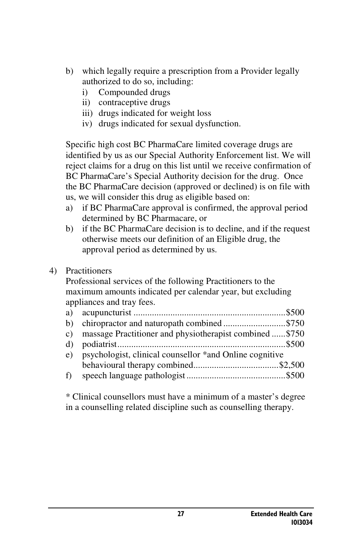- b) which legally require a prescription from a Provider legally authorized to do so, including:
	- i) Compounded drugs
	- ii) contraceptive drugs
	- iii) drugs indicated for weight loss
	- iv) drugs indicated for sexual dysfunction.

Specific high cost BC PharmaCare limited coverage drugs are identified by us as our Special Authority Enforcement list. We will reject claims for a drug on this list until we receive confirmation of BC PharmaCare's Special Authority decision for the drug. Once the BC PharmaCare decision (approved or declined) is on file with us, we will consider this drug as eligible based on:

- a) if BC PharmaCare approval is confirmed, the approval period determined by BC Pharmacare, or
- b) if the BC PharmaCare decision is to decline, and if the request otherwise meets our definition of an Eligible drug, the approval period as determined by us.

#### 4) Practitioners

Professional services of the following Practitioners to the maximum amounts indicated per calendar year, but excluding appliances and tray fees.

|   | c) massage Practitioner and physiotherapist combined \$750 |  |
|---|------------------------------------------------------------|--|
|   |                                                            |  |
|   | e) psychologist, clinical counsellor *and Online cognitive |  |
|   |                                                            |  |
| f |                                                            |  |

\* Clinical counsellors must have a minimum of a master's degree in a counselling related discipline such as counselling therapy.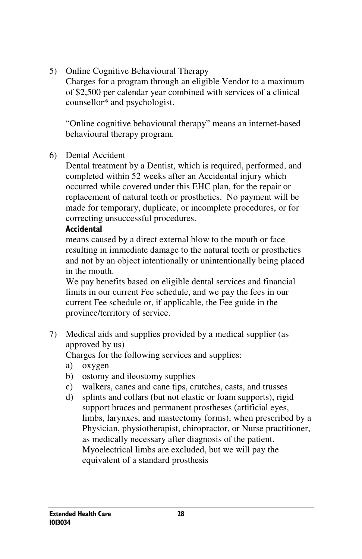5) Online Cognitive Behavioural Therapy

Charges for a program through an eligible Vendor to a maximum of \$2,500 per calendar year combined with services of a clinical counsellor\* and psychologist.

"Online cognitive behavioural therapy" means an internet-based behavioural therapy program.

6) Dental Accident

Dental treatment by a Dentist, which is required, performed, and completed within 52 weeks after an Accidental injury which occurred while covered under this EHC plan, for the repair or replacement of natural teeth or prosthetics. No payment will be made for temporary, duplicate, or incomplete procedures, or for correcting unsuccessful procedures.

#### **Accidental**

means caused by a direct external blow to the mouth or face resulting in immediate damage to the natural teeth or prosthetics and not by an object intentionally or unintentionally being placed in the mouth.

We pay benefits based on eligible dental services and financial limits in our current Fee schedule, and we pay the fees in our current Fee schedule or, if applicable, the Fee guide in the province/territory of service.

7) Medical aids and supplies provided by a medical supplier (as approved by us)

Charges for the following services and supplies:

- a) oxygen
- b) ostomy and ileostomy supplies
- c) walkers, canes and cane tips, crutches, casts, and trusses
- d) splints and collars (but not elastic or foam supports), rigid support braces and permanent prostheses (artificial eyes, limbs, larynxes, and mastectomy forms), when prescribed by a Physician, physiotherapist, chiropractor, or Nurse practitioner, as medically necessary after diagnosis of the patient. Myoelectrical limbs are excluded, but we will pay the equivalent of a standard prosthesis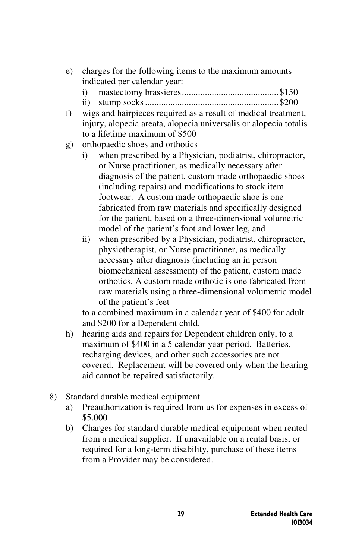- e) charges for the following items to the maximum amounts indicated per calendar year:
	- i) mastectomy brassieres .......................................... \$150
	- ii) stump socks .......................................................... \$200
- f) wigs and hairpieces required as a result of medical treatment, injury, alopecia areata, alopecia universalis or alopecia totalis to a lifetime maximum of \$500
- g) orthopaedic shoes and orthotics
	- i) when prescribed by a Physician, podiatrist, chiropractor, or Nurse practitioner, as medically necessary after diagnosis of the patient, custom made orthopaedic shoes (including repairs) and modifications to stock item footwear. A custom made orthopaedic shoe is one fabricated from raw materials and specifically designed for the patient, based on a three-dimensional volumetric model of the patient's foot and lower leg, and
	- ii) when prescribed by a Physician, podiatrist, chiropractor, physiotherapist, or Nurse practitioner, as medically necessary after diagnosis (including an in person biomechanical assessment) of the patient, custom made orthotics. A custom made orthotic is one fabricated from raw materials using a three-dimensional volumetric model of the patient's feet

to a combined maximum in a calendar year of \$400 for adult and \$200 for a Dependent child.

- h) hearing aids and repairs for Dependent children only, to a maximum of \$400 in a 5 calendar year period. Batteries, recharging devices, and other such accessories are not covered. Replacement will be covered only when the hearing aid cannot be repaired satisfactorily.
- 8) Standard durable medical equipment
	- a) Preauthorization is required from us for expenses in excess of \$5,000
	- b) Charges for standard durable medical equipment when rented from a medical supplier. If unavailable on a rental basis, or required for a long-term disability, purchase of these items from a Provider may be considered.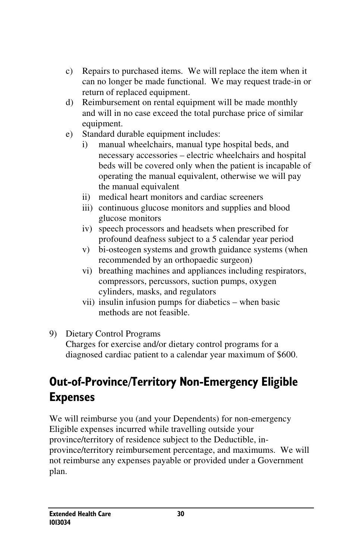- c) Repairs to purchased items. We will replace the item when it can no longer be made functional. We may request trade-in or return of replaced equipment.
- d) Reimbursement on rental equipment will be made monthly and will in no case exceed the total purchase price of similar equipment.
- e) Standard durable equipment includes:
	- i) manual wheelchairs, manual type hospital beds, and necessary accessories – electric wheelchairs and hospital beds will be covered only when the patient is incapable of operating the manual equivalent, otherwise we will pay the manual equivalent
	- ii) medical heart monitors and cardiac screeners
	- iii) continuous glucose monitors and supplies and blood glucose monitors
	- iv) speech processors and headsets when prescribed for profound deafness subject to a 5 calendar year period
	- v) bi-osteogen systems and growth guidance systems (when recommended by an orthopaedic surgeon)
	- vi) breathing machines and appliances including respirators, compressors, percussors, suction pumps, oxygen cylinders, masks, and regulators
	- vii) insulin infusion pumps for diabetics when basic methods are not feasible.
- 9) Dietary Control Programs

Charges for exercise and/or dietary control programs for a diagnosed cardiac patient to a calendar year maximum of \$600.

# Out-of-Province/Territory Non-Emergency Eligible Expenses

We will reimburse you (and your Dependents) for non-emergency Eligible expenses incurred while travelling outside your province/territory of residence subject to the Deductible, inprovince/territory reimbursement percentage, and maximums. We will not reimburse any expenses payable or provided under a Government plan.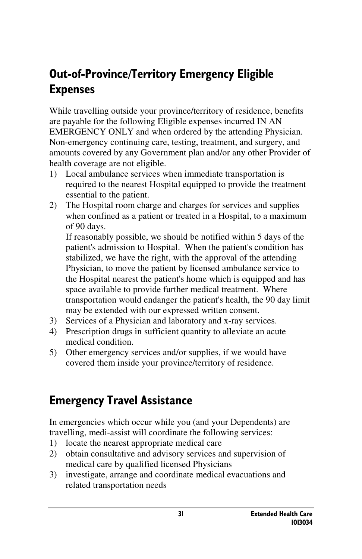### Out-of-Province/Territory Emergency Eligible Expenses

While travelling outside your province/territory of residence, benefits are payable for the following Eligible expenses incurred IN AN EMERGENCY ONLY and when ordered by the attending Physician. Non-emergency continuing care, testing, treatment, and surgery, and amounts covered by any Government plan and/or any other Provider of health coverage are not eligible.

- 1) Local ambulance services when immediate transportation is required to the nearest Hospital equipped to provide the treatment essential to the patient.
- 2) The Hospital room charge and charges for services and supplies when confined as a patient or treated in a Hospital, to a maximum of 90 days.

If reasonably possible, we should be notified within 5 days of the patient's admission to Hospital. When the patient's condition has stabilized, we have the right, with the approval of the attending Physician, to move the patient by licensed ambulance service to the Hospital nearest the patient's home which is equipped and has space available to provide further medical treatment. Where transportation would endanger the patient's health, the 90 day limit may be extended with our expressed written consent.

- 3) Services of a Physician and laboratory and x-ray services.
- 4) Prescription drugs in sufficient quantity to alleviate an acute medical condition.
- 5) Other emergency services and/or supplies, if we would have covered them inside your province/territory of residence.

### Emergency Travel Assistance

In emergencies which occur while you (and your Dependents) are travelling, medi-assist will coordinate the following services:

- 1) locate the nearest appropriate medical care
- 2) obtain consultative and advisory services and supervision of medical care by qualified licensed Physicians
- 3) investigate, arrange and coordinate medical evacuations and related transportation needs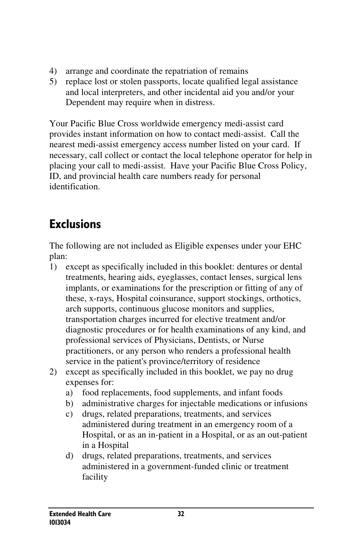- 4) arrange and coordinate the repatriation of remains
- 5) replace lost or stolen passports, locate qualified legal assistance and local interpreters, and other incidental aid you and/or your Dependent may require when in distress.

Your Pacific Blue Cross worldwide emergency medi-assist card provides instant information on how to contact medi-assist. Call the nearest medi-assist emergency access number listed on your card. If necessary, call collect or contact the local telephone operator for help in placing your call to medi-assist. Have your Pacific Blue Cross Policy, ID, and provincial health care numbers ready for personal identification.

# **Exclusions**

The following are not included as Eligible expenses under your EHC plan:

- 1) except as specifically included in this booklet: dentures or dental treatments, hearing aids, eyeglasses, contact lenses, surgical lens implants, or examinations for the prescription or fitting of any of these, x-rays, Hospital coinsurance, support stockings, orthotics, arch supports, continuous glucose monitors and supplies, transportation charges incurred for elective treatment and/or diagnostic procedures or for health examinations of any kind, and professional services of Physicians, Dentists, or Nurse practitioners, or any person who renders a professional health service in the patient's province/territory of residence
- 2) except as specifically included in this booklet, we pay no drug expenses for:
	- a) food replacements, food supplements, and infant foods
	- b) administrative charges for injectable medications or infusions
	- c) drugs, related preparations, treatments, and services administered during treatment in an emergency room of a Hospital, or as an in-patient in a Hospital, or as an out-patient in a Hospital
	- d) drugs, related preparations, treatments, and services administered in a government-funded clinic or treatment facility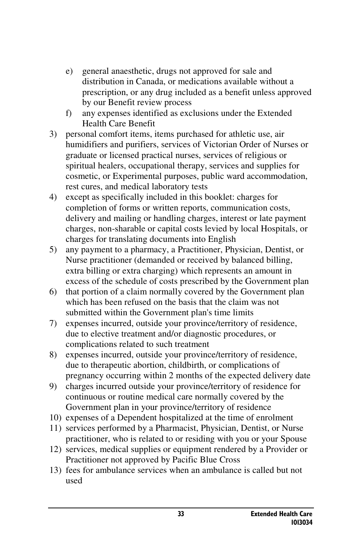- e) general anaesthetic, drugs not approved for sale and distribution in Canada, or medications available without a prescription, or any drug included as a benefit unless approved by our Benefit review process
- f) any expenses identified as exclusions under the Extended Health Care Benefit
- 3) personal comfort items, items purchased for athletic use, air humidifiers and purifiers, services of Victorian Order of Nurses or graduate or licensed practical nurses, services of religious or spiritual healers, occupational therapy, services and supplies for cosmetic, or Experimental purposes, public ward accommodation, rest cures, and medical laboratory tests
- 4) except as specifically included in this booklet: charges for completion of forms or written reports, communication costs, delivery and mailing or handling charges, interest or late payment charges, non-sharable or capital costs levied by local Hospitals, or charges for translating documents into English
- 5) any payment to a pharmacy, a Practitioner, Physician, Dentist, or Nurse practitioner (demanded or received by balanced billing, extra billing or extra charging) which represents an amount in excess of the schedule of costs prescribed by the Government plan
- 6) that portion of a claim normally covered by the Government plan which has been refused on the basis that the claim was not submitted within the Government plan's time limits
- 7) expenses incurred, outside your province/territory of residence, due to elective treatment and/or diagnostic procedures, or complications related to such treatment
- 8) expenses incurred, outside your province/territory of residence, due to therapeutic abortion, childbirth, or complications of pregnancy occurring within 2 months of the expected delivery date
- 9) charges incurred outside your province/territory of residence for continuous or routine medical care normally covered by the Government plan in your province/territory of residence
- 10) expenses of a Dependent hospitalized at the time of enrolment
- 11) services performed by a Pharmacist, Physician, Dentist, or Nurse practitioner, who is related to or residing with you or your Spouse
- 12) services, medical supplies or equipment rendered by a Provider or Practitioner not approved by Pacific Blue Cross
- 13) fees for ambulance services when an ambulance is called but not used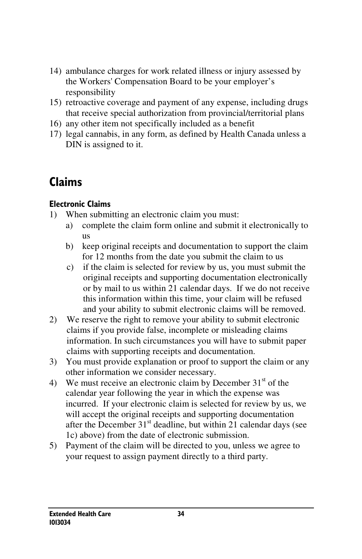- 14) ambulance charges for work related illness or injury assessed by the Workers' Compensation Board to be your employer's responsibility
- 15) retroactive coverage and payment of any expense, including drugs that receive special authorization from provincial/territorial plans
- 16) any other item not specifically included as a benefit
- 17) legal cannabis, in any form, as defined by Health Canada unless a DIN is assigned to it.

# Claims

#### Electronic Claims

- 1) When submitting an electronic claim you must:
	- a) complete the claim form online and submit it electronically to us
	- b) keep original receipts and documentation to support the claim for 12 months from the date you submit the claim to us
	- c) if the claim is selected for review by us, you must submit the original receipts and supporting documentation electronically or by mail to us within 21 calendar days. If we do not receive this information within this time, your claim will be refused and your ability to submit electronic claims will be removed.
- 2) We reserve the right to remove your ability to submit electronic claims if you provide false, incomplete or misleading claims information. In such circumstances you will have to submit paper claims with supporting receipts and documentation.
- 3) You must provide explanation or proof to support the claim or any other information we consider necessary.
- 4) We must receive an electronic claim by December  $31<sup>st</sup>$  of the calendar year following the year in which the expense was incurred. If your electronic claim is selected for review by us, we will accept the original receipts and supporting documentation after the December  $31<sup>st</sup>$  deadline, but within 21 calendar days (see 1c) above) from the date of electronic submission.
- 5) Payment of the claim will be directed to you, unless we agree to your request to assign payment directly to a third party.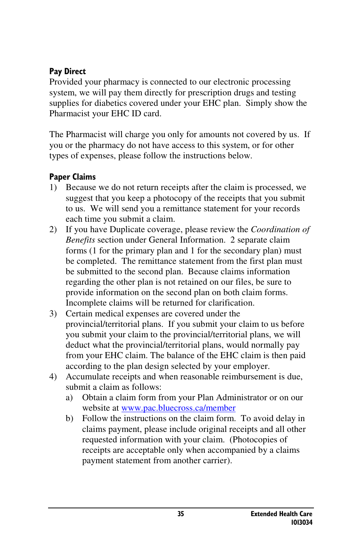#### Pay Direct

Provided your pharmacy is connected to our electronic processing system, we will pay them directly for prescription drugs and testing supplies for diabetics covered under your EHC plan. Simply show the Pharmacist your EHC ID card.

The Pharmacist will charge you only for amounts not covered by us. If you or the pharmacy do not have access to this system, or for other types of expenses, please follow the instructions below.

#### Paper Claims

- 1) Because we do not return receipts after the claim is processed, we suggest that you keep a photocopy of the receipts that you submit to us. We will send you a remittance statement for your records each time you submit a claim.
- 2) If you have Duplicate coverage, please review the *Coordination of Benefits* section under General Information. 2 separate claim forms (1 for the primary plan and 1 for the secondary plan) must be completed. The remittance statement from the first plan must be submitted to the second plan. Because claims information regarding the other plan is not retained on our files, be sure to provide information on the second plan on both claim forms. Incomplete claims will be returned for clarification.
- 3) Certain medical expenses are covered under the provincial/territorial plans. If you submit your claim to us before you submit your claim to the provincial/territorial plans, we will deduct what the provincial/territorial plans, would normally pay from your EHC claim. The balance of the EHC claim is then paid according to the plan design selected by your employer.
- 4) Accumulate receipts and when reasonable reimbursement is due, submit a claim as follows:
	- a) Obtain a claim form from your Plan Administrator or on our website at www.pac.bluecross.ca/member
	- b) Follow the instructions on the claim form. To avoid delay in claims payment, please include original receipts and all other requested information with your claim. (Photocopies of receipts are acceptable only when accompanied by a claims payment statement from another carrier).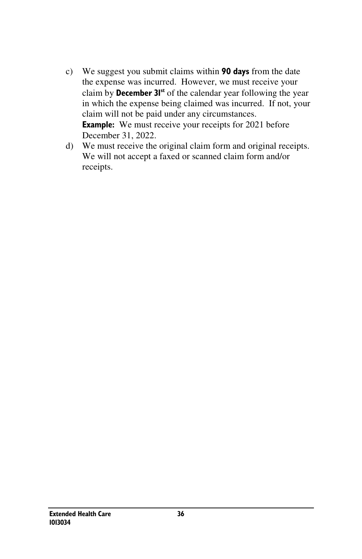- c) We suggest you submit claims within 90 days from the date the expense was incurred. However, we must receive your claim by **December 31st** of the calendar year following the year in which the expense being claimed was incurred. If not, your claim will not be paid under any circumstances. **Example:** We must receive your receipts for 2021 before December 31, 2022.
- d) We must receive the original claim form and original receipts. We will not accept a faxed or scanned claim form and/or receipts.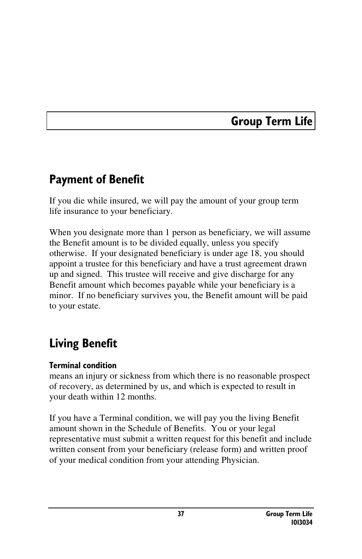### Group Term Life

### Payment of Benefit

If you die while insured, we will pay the amount of your group term life insurance to your beneficiary.

When you designate more than 1 person as beneficiary, we will assume the Benefit amount is to be divided equally, unless you specify otherwise. If your designated beneficiary is under age 18, you should appoint a trustee for this beneficiary and have a trust agreement drawn up and signed. This trustee will receive and give discharge for any Benefit amount which becomes payable while your beneficiary is a minor. If no beneficiary survives you, the Benefit amount will be paid to your estate.

### Living Benefit

#### Terminal condition

means an injury or sickness from which there is no reasonable prospect of recovery, as determined by us, and which is expected to result in your death within 12 months.

If you have a Terminal condition, we will pay you the living Benefit amount shown in the Schedule of Benefits. You or your legal representative must submit a written request for this benefit and include written consent from your beneficiary (release form) and written proof of your medical condition from your attending Physician.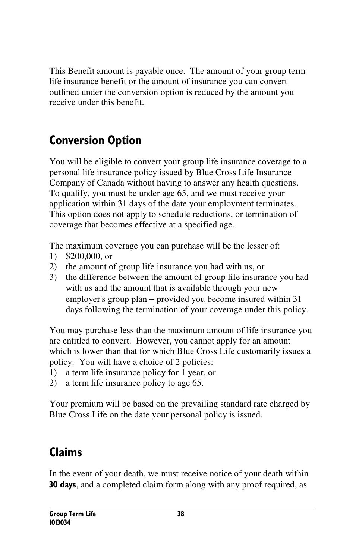This Benefit amount is payable once. The amount of your group term life insurance benefit or the amount of insurance you can convert outlined under the conversion option is reduced by the amount you receive under this benefit.

# Conversion Option

You will be eligible to convert your group life insurance coverage to a personal life insurance policy issued by Blue Cross Life Insurance Company of Canada without having to answer any health questions. To qualify, you must be under age 65, and we must receive your application within 31 days of the date your employment terminates. This option does not apply to schedule reductions, or termination of coverage that becomes effective at a specified age.

The maximum coverage you can purchase will be the lesser of:

- 1) \$200,000, or
- 2) the amount of group life insurance you had with us, or
- 3) the difference between the amount of group life insurance you had with us and the amount that is available through your new employer's group plan – provided you become insured within 31 days following the termination of your coverage under this policy.

You may purchase less than the maximum amount of life insurance you are entitled to convert. However, you cannot apply for an amount which is lower than that for which Blue Cross Life customarily issues a policy. You will have a choice of 2 policies:

- 1) a term life insurance policy for 1 year, or
- 2) a term life insurance policy to age 65.

Your premium will be based on the prevailing standard rate charged by Blue Cross Life on the date your personal policy is issued.

### Claims

In the event of your death, we must receive notice of your death within **30 days**, and a completed claim form along with any proof required, as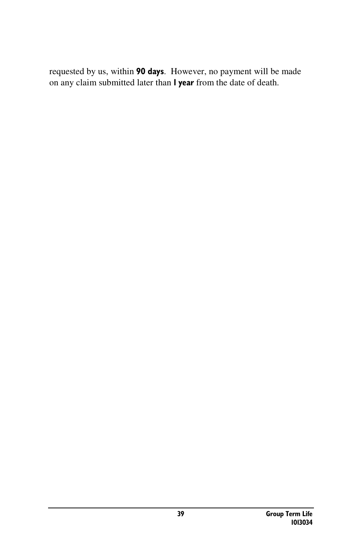requested by us, within 90 days. However, no payment will be made on any claim submitted later than 1 year from the date of death.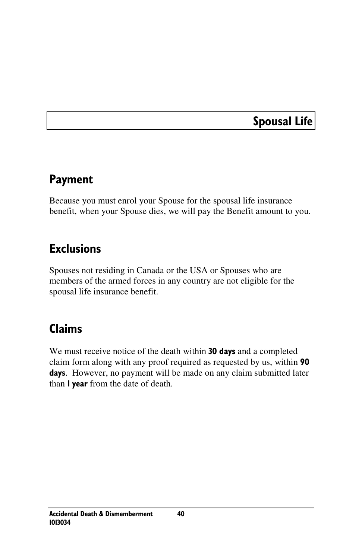### Spousal Life

### Payment

Because you must enrol your Spouse for the spousal life insurance benefit, when your Spouse dies, we will pay the Benefit amount to you.

### Exclusions

Spouses not residing in Canada or the USA or Spouses who are members of the armed forces in any country are not eligible for the spousal life insurance benefit.

### Claims

We must receive notice of the death within 30 days and a completed claim form along with any proof required as requested by us, within 90 days. However, no payment will be made on any claim submitted later than I year from the date of death.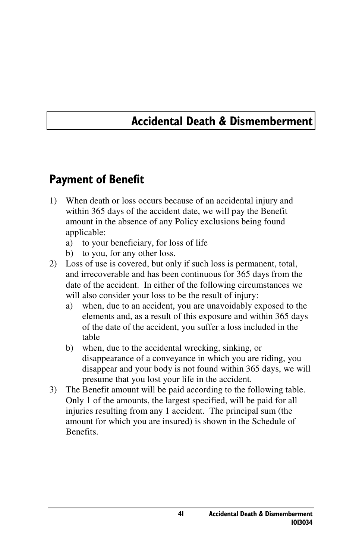### Accidental Death & Dismemberment

### Payment of Benefit

- 1) When death or loss occurs because of an accidental injury and within 365 days of the accident date, we will pay the Benefit amount in the absence of any Policy exclusions being found applicable:
	- a) to your beneficiary, for loss of life
	- b) to you, for any other loss.
- 2) Loss of use is covered, but only if such loss is permanent, total, and irrecoverable and has been continuous for 365 days from the date of the accident. In either of the following circumstances we will also consider your loss to be the result of injury:
	- a) when, due to an accident, you are unavoidably exposed to the elements and, as a result of this exposure and within 365 days of the date of the accident, you suffer a loss included in the table
	- b) when, due to the accidental wrecking, sinking, or disappearance of a conveyance in which you are riding, you disappear and your body is not found within 365 days, we will presume that you lost your life in the accident.
- 3) The Benefit amount will be paid according to the following table. Only 1 of the amounts, the largest specified, will be paid for all injuries resulting from any 1 accident. The principal sum (the amount for which you are insured) is shown in the Schedule of Benefits.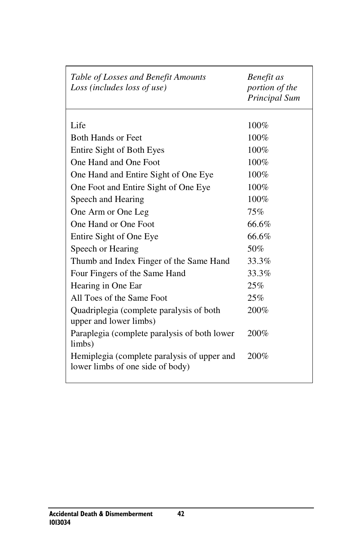| Table of Losses and Benefit Amounts<br>Loss (includes loss of use)              | Benefit as<br>portion of the<br>Principal Sum |
|---------------------------------------------------------------------------------|-----------------------------------------------|
| Life                                                                            | 100%                                          |
| <b>Both Hands or Feet</b>                                                       | 100%                                          |
|                                                                                 |                                               |
| Entire Sight of Both Eyes                                                       | 100%                                          |
| One Hand and One Foot                                                           | 100%                                          |
| One Hand and Entire Sight of One Eye                                            | 100%                                          |
| One Foot and Entire Sight of One Eye                                            | 100%                                          |
| Speech and Hearing                                                              | 100%                                          |
| One Arm or One Leg                                                              | 75%                                           |
| One Hand or One Foot                                                            | 66.6%                                         |
| Entire Sight of One Eye                                                         | 66.6%                                         |
| Speech or Hearing                                                               | 50%                                           |
| Thumb and Index Finger of the Same Hand                                         | 33.3%                                         |
| Four Fingers of the Same Hand                                                   | 33.3%                                         |
| Hearing in One Ear                                                              | 25%                                           |
| All Toes of the Same Foot                                                       | 25%                                           |
| Quadriplegia (complete paralysis of both<br>upper and lower limbs)              | 200%                                          |
| Paraplegia (complete paralysis of both lower<br>limbs)                          | 200%                                          |
| Hemiplegia (complete paralysis of upper and<br>lower limbs of one side of body) | 200%                                          |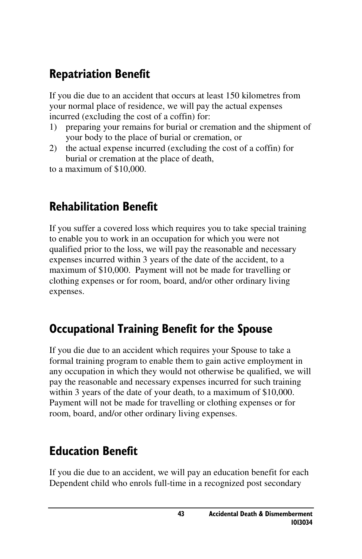### Repatriation Benefit

If you die due to an accident that occurs at least 150 kilometres from your normal place of residence, we will pay the actual expenses incurred (excluding the cost of a coffin) for:

- 1) preparing your remains for burial or cremation and the shipment of your body to the place of burial or cremation, or
- 2) the actual expense incurred (excluding the cost of a coffin) for burial or cremation at the place of death,
- to a maximum of \$10,000.

### Rehabilitation Benefit

If you suffer a covered loss which requires you to take special training to enable you to work in an occupation for which you were not qualified prior to the loss, we will pay the reasonable and necessary expenses incurred within 3 years of the date of the accident, to a maximum of \$10,000. Payment will not be made for travelling or clothing expenses or for room, board, and/or other ordinary living expenses.

### Occupational Training Benefit for the Spouse

If you die due to an accident which requires your Spouse to take a formal training program to enable them to gain active employment in any occupation in which they would not otherwise be qualified, we will pay the reasonable and necessary expenses incurred for such training within 3 years of the date of your death, to a maximum of \$10,000. Payment will not be made for travelling or clothing expenses or for room, board, and/or other ordinary living expenses.

### Education Benefit

If you die due to an accident, we will pay an education benefit for each Dependent child who enrols full-time in a recognized post secondary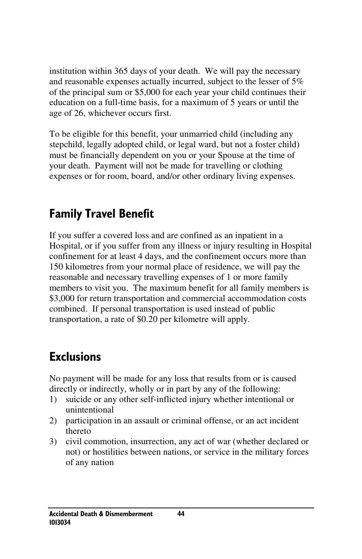institution within 365 days of your death. We will pay the necessary and reasonable expenses actually incurred, subject to the lesser of 5% of the principal sum or \$5,000 for each year your child continues their education on a full-time basis, for a maximum of 5 years or until the age of 26, whichever occurs first.

To be eligible for this benefit, your unmarried child (including any stepchild, legally adopted child, or legal ward, but not a foster child) must be financially dependent on you or your Spouse at the time of your death. Payment will not be made for travelling or clothing expenses or for room, board, and/or other ordinary living expenses.

### Family Travel Benefit

If you suffer a covered loss and are confined as an inpatient in a Hospital, or if you suffer from any illness or injury resulting in Hospital confinement for at least 4 days, and the confinement occurs more than 150 kilometres from your normal place of residence, we will pay the reasonable and necessary travelling expenses of 1 or more family members to visit you. The maximum benefit for all family members is \$3,000 for return transportation and commercial accommodation costs combined. If personal transportation is used instead of public transportation, a rate of \$0.20 per kilometre will apply.

### **Exclusions**

No payment will be made for any loss that results from or is caused directly or indirectly, wholly or in part by any of the following:

- 1) suicide or any other self-inflicted injury whether intentional or unintentional
- 2) participation in an assault or criminal offense, or an act incident thereto
- 3) civil commotion, insurrection, any act of war (whether declared or not) or hostilities between nations, or service in the military forces of any nation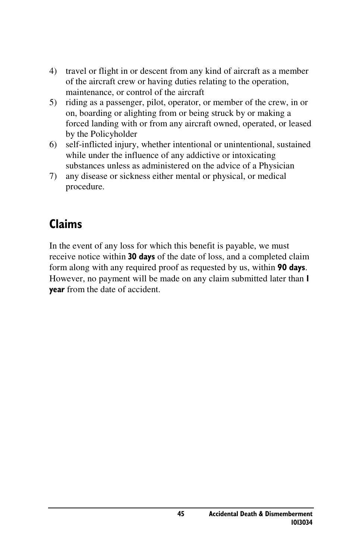- 4) travel or flight in or descent from any kind of aircraft as a member of the aircraft crew or having duties relating to the operation, maintenance, or control of the aircraft
- 5) riding as a passenger, pilot, operator, or member of the crew, in or on, boarding or alighting from or being struck by or making a forced landing with or from any aircraft owned, operated, or leased by the Policyholder
- 6) self-inflicted injury, whether intentional or unintentional, sustained while under the influence of any addictive or intoxicating substances unless as administered on the advice of a Physician
- 7) any disease or sickness either mental or physical, or medical procedure.

### Claims

In the event of any loss for which this benefit is payable, we must receive notice within 30 days of the date of loss, and a completed claim form along with any required proof as requested by us, within 90 days. However, no payment will be made on any claim submitted later than 1 year from the date of accident.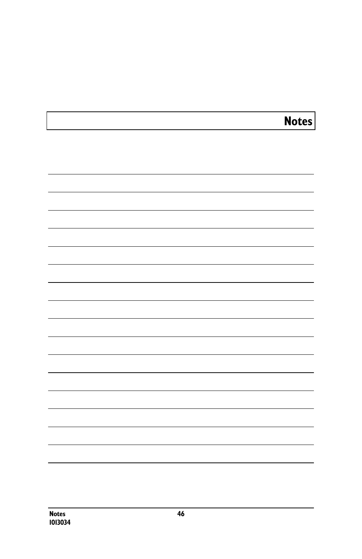# Notes